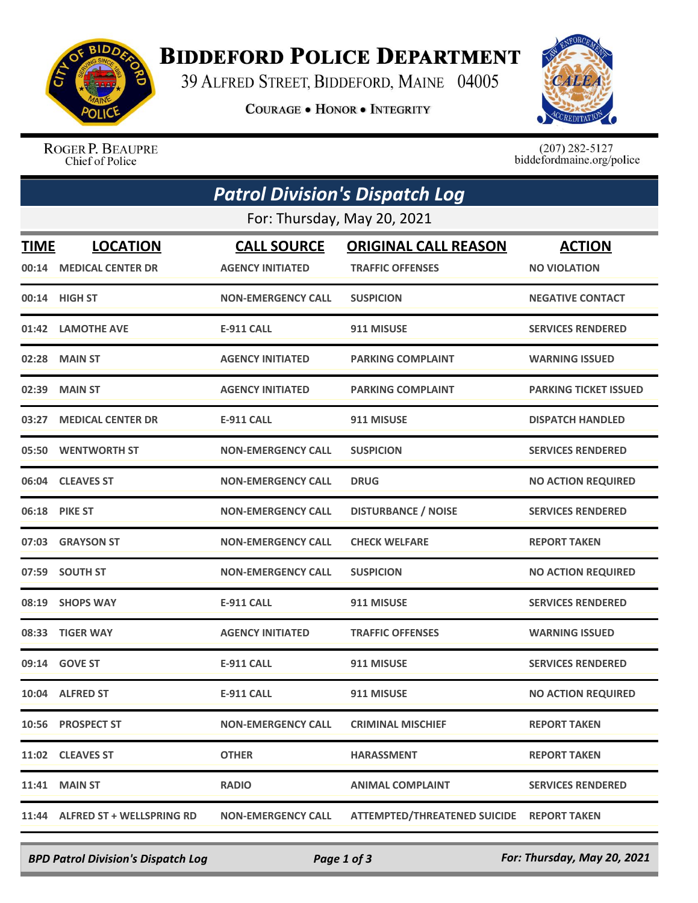

## **BIDDEFORD POLICE DEPARTMENT**

39 ALFRED STREET, BIDDEFORD, MAINE 04005

**COURAGE . HONOR . INTEGRITY** 



ROGER P. BEAUPRE Chief of Police

 $(207)$  282-5127<br>biddefordmaine.org/police

| <b>Patrol Division's Dispatch Log</b><br>For: Thursday, May 20, 2021 |                                 |                           |                                           |                              |  |  |
|----------------------------------------------------------------------|---------------------------------|---------------------------|-------------------------------------------|------------------------------|--|--|
|                                                                      |                                 |                           |                                           |                              |  |  |
|                                                                      | 00:14 HIGH ST                   | <b>NON-EMERGENCY CALL</b> | <b>SUSPICION</b>                          | <b>NEGATIVE CONTACT</b>      |  |  |
|                                                                      | 01:42 LAMOTHE AVE               | <b>E-911 CALL</b>         | 911 MISUSE                                | <b>SERVICES RENDERED</b>     |  |  |
| 02:28                                                                | <b>MAIN ST</b>                  | <b>AGENCY INITIATED</b>   | <b>PARKING COMPLAINT</b>                  | <b>WARNING ISSUED</b>        |  |  |
|                                                                      | 02:39 MAIN ST                   | <b>AGENCY INITIATED</b>   | <b>PARKING COMPLAINT</b>                  | <b>PARKING TICKET ISSUED</b> |  |  |
| 03:27                                                                | <b>MEDICAL CENTER DR</b>        | <b>E-911 CALL</b>         | 911 MISUSE                                | <b>DISPATCH HANDLED</b>      |  |  |
|                                                                      | 05:50 WENTWORTH ST              | <b>NON-EMERGENCY CALL</b> | <b>SUSPICION</b>                          | <b>SERVICES RENDERED</b>     |  |  |
| 06:04                                                                | <b>CLEAVES ST</b>               | <b>NON-EMERGENCY CALL</b> | <b>DRUG</b>                               | <b>NO ACTION REQUIRED</b>    |  |  |
|                                                                      | 06:18 PIKE ST                   | <b>NON-EMERGENCY CALL</b> | <b>DISTURBANCE / NOISE</b>                | <b>SERVICES RENDERED</b>     |  |  |
|                                                                      | 07:03 GRAYSON ST                | <b>NON-EMERGENCY CALL</b> | <b>CHECK WELFARE</b>                      | <b>REPORT TAKEN</b>          |  |  |
| 07:59                                                                | <b>SOUTH ST</b>                 | <b>NON-EMERGENCY CALL</b> | <b>SUSPICION</b>                          | <b>NO ACTION REQUIRED</b>    |  |  |
| 08:19                                                                | <b>SHOPS WAY</b>                | <b>E-911 CALL</b>         | 911 MISUSE                                | <b>SERVICES RENDERED</b>     |  |  |
| 08:33                                                                | <b>TIGER WAY</b>                | <b>AGENCY INITIATED</b>   | <b>TRAFFIC OFFENSES</b>                   | <b>WARNING ISSUED</b>        |  |  |
|                                                                      | 09:14 GOVE ST                   | <b>E-911 CALL</b>         | 911 MISUSE                                | <b>SERVICES RENDERED</b>     |  |  |
|                                                                      | 10:04 ALFRED ST                 | <b>E-911 CALL</b>         | 911 MISUSE                                | <b>NO ACTION REQUIRED</b>    |  |  |
|                                                                      | 10:56 PROSPECT ST               | <b>NON-EMERGENCY CALL</b> | <b>CRIMINAL MISCHIEF</b>                  | <b>REPORT TAKEN</b>          |  |  |
|                                                                      | 11:02 CLEAVES ST                | <b>OTHER</b>              | <b>HARASSMENT</b>                         | <b>REPORT TAKEN</b>          |  |  |
| 11:41                                                                | <b>MAIN ST</b>                  | <b>RADIO</b>              | <b>ANIMAL COMPLAINT</b>                   | <b>SERVICES RENDERED</b>     |  |  |
|                                                                      | 11:44 ALFRED ST + WELLSPRING RD | <b>NON-EMERGENCY CALL</b> | ATTEMPTED/THREATENED SUICIDE REPORT TAKEN |                              |  |  |

*BPD Patrol Division's Dispatch Log Page 1 of 3 For: Thursday, May 20, 2021*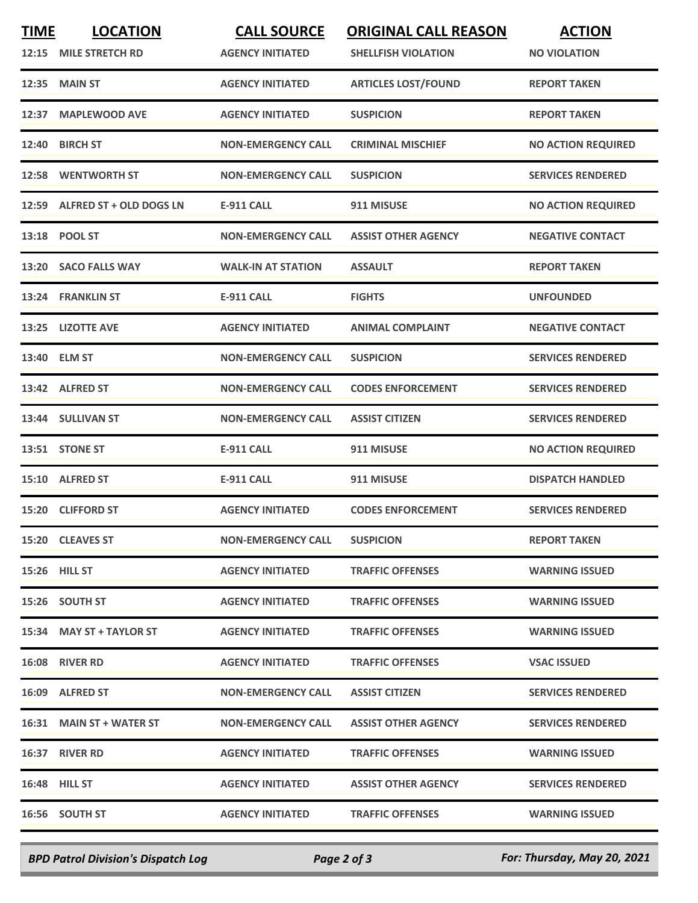| <b>TIME</b> | <b>LOCATION</b>               | <b>CALL SOURCE</b>        | <b>ORIGINAL CALL REASON</b> | <b>ACTION</b>             |
|-------------|-------------------------------|---------------------------|-----------------------------|---------------------------|
| 12:15       | <b>MILE STRETCH RD</b>        | <b>AGENCY INITIATED</b>   | <b>SHELLFISH VIOLATION</b>  | <b>NO VIOLATION</b>       |
| 12:35       | <b>MAIN ST</b>                | <b>AGENCY INITIATED</b>   | <b>ARTICLES LOST/FOUND</b>  | <b>REPORT TAKEN</b>       |
| 12:37       | <b>MAPLEWOOD AVE</b>          | <b>AGENCY INITIATED</b>   | <b>SUSPICION</b>            | <b>REPORT TAKEN</b>       |
| 12:40       | <b>BIRCH ST</b>               | <b>NON-EMERGENCY CALL</b> | <b>CRIMINAL MISCHIEF</b>    | <b>NO ACTION REQUIRED</b> |
|             | 12:58 WENTWORTH ST            | <b>NON-EMERGENCY CALL</b> | <b>SUSPICION</b>            | <b>SERVICES RENDERED</b>  |
|             | 12:59 ALFRED ST + OLD DOGS LN | <b>E-911 CALL</b>         | 911 MISUSE                  | <b>NO ACTION REQUIRED</b> |
|             | 13:18 POOL ST                 | <b>NON-EMERGENCY CALL</b> | <b>ASSIST OTHER AGENCY</b>  | <b>NEGATIVE CONTACT</b>   |
|             | 13:20 SACO FALLS WAY          | <b>WALK-IN AT STATION</b> | <b>ASSAULT</b>              | <b>REPORT TAKEN</b>       |
|             | 13:24 FRANKLIN ST             | <b>E-911 CALL</b>         | <b>FIGHTS</b>               | <b>UNFOUNDED</b>          |
|             | 13:25 LIZOTTE AVE             | <b>AGENCY INITIATED</b>   | <b>ANIMAL COMPLAINT</b>     | <b>NEGATIVE CONTACT</b>   |
|             | 13:40 ELM ST                  | <b>NON-EMERGENCY CALL</b> | <b>SUSPICION</b>            | <b>SERVICES RENDERED</b>  |
|             | 13:42 ALFRED ST               | <b>NON-EMERGENCY CALL</b> | <b>CODES ENFORCEMENT</b>    | <b>SERVICES RENDERED</b>  |
|             | 13:44 SULLIVAN ST             | <b>NON-EMERGENCY CALL</b> | <b>ASSIST CITIZEN</b>       | <b>SERVICES RENDERED</b>  |
|             | 13:51 STONE ST                | <b>E-911 CALL</b>         | 911 MISUSE                  | <b>NO ACTION REQUIRED</b> |
|             | 15:10 ALFRED ST               | <b>E-911 CALL</b>         | 911 MISUSE                  | <b>DISPATCH HANDLED</b>   |
|             | 15:20 CLIFFORD ST             | <b>AGENCY INITIATED</b>   | <b>CODES ENFORCEMENT</b>    | <b>SERVICES RENDERED</b>  |
|             | 15:20 CLEAVES ST              | <b>NON-EMERGENCY CALL</b> | <b>SUSPICION</b>            | <b>REPORT TAKEN</b>       |
|             | <b>15:26 HILL ST</b>          | <b>AGENCY INITIATED</b>   | <b>TRAFFIC OFFENSES</b>     | <b>WARNING ISSUED</b>     |
|             | 15:26 SOUTH ST                | <b>AGENCY INITIATED</b>   | <b>TRAFFIC OFFENSES</b>     | <b>WARNING ISSUED</b>     |
|             | 15:34 MAY ST + TAYLOR ST      | <b>AGENCY INITIATED</b>   | <b>TRAFFIC OFFENSES</b>     | <b>WARNING ISSUED</b>     |
|             | <b>16:08 RIVER RD</b>         | <b>AGENCY INITIATED</b>   | <b>TRAFFIC OFFENSES</b>     | <b>VSAC ISSUED</b>        |
|             | 16:09 ALFRED ST               | <b>NON-EMERGENCY CALL</b> | <b>ASSIST CITIZEN</b>       | <b>SERVICES RENDERED</b>  |
|             | 16:31 MAIN ST + WATER ST      | <b>NON-EMERGENCY CALL</b> | <b>ASSIST OTHER AGENCY</b>  | <b>SERVICES RENDERED</b>  |
|             | 16:37 RIVER RD                | <b>AGENCY INITIATED</b>   | <b>TRAFFIC OFFENSES</b>     | <b>WARNING ISSUED</b>     |
|             | 16:48 HILL ST                 | <b>AGENCY INITIATED</b>   | <b>ASSIST OTHER AGENCY</b>  | <b>SERVICES RENDERED</b>  |
|             | 16:56 SOUTH ST                | <b>AGENCY INITIATED</b>   | <b>TRAFFIC OFFENSES</b>     | <b>WARNING ISSUED</b>     |
|             |                               |                           |                             |                           |

*BPD Patrol Division's Dispatch Log Page 2 of 3 For: Thursday, May 20, 2021*